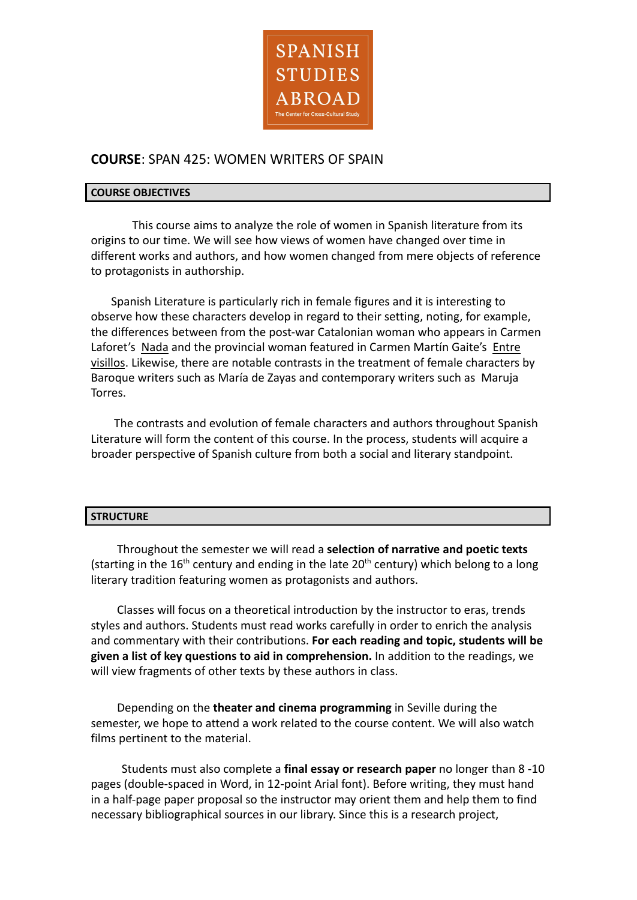

# **COURSE**: SPAN 425: WOMEN WRITERS OF SPAIN

#### **COURSE OBJECTIVES**

This course aims to analyze the role of women in Spanish literature from its origins to our time. We will see how views of women have changed over time in different works and authors, and how women changed from mere objects of reference to protagonists in authorship.

Spanish Literature is particularly rich in female figures and it is interesting to observe how these characters develop in regard to their setting, noting, for example, the differences between from the post-war Catalonian woman who appears in Carmen Laforet's Nada and the provincial woman featured in Carmen Martín Gaite's Entre visillos. Likewise, there are notable contrasts in the treatment of female characters by Baroque writers such as María de Zayas and contemporary writers such as Maruja Torres.

The contrasts and evolution of female characters and authors throughout Spanish Literature will form the content of this course. In the process, students will acquire a broader perspective of Spanish culture from both a social and literary standpoint.

### **STRUCTURE**

Throughout the semester we will read a **selection of narrative and poetic texts** (starting in the 16<sup>th</sup> century and ending in the late 20<sup>th</sup> century) which belong to a long literary tradition featuring women as protagonists and authors.

Classes will focus on a theoretical introduction by the instructor to eras, trends styles and authors. Students must read works carefully in order to enrich the analysis and commentary with their contributions. **For each reading and topic, students will be given a list of key questions to aid in comprehension.** In addition to the readings, we will view fragments of other texts by these authors in class.

Depending on the **theater and cinema programming** in Seville during the semester, we hope to attend a work related to the course content. We will also watch films pertinent to the material.

Students must also complete a **final essay or research paper** no longer than 8 -10 pages (double-spaced in Word, in 12-point Arial font). Before writing, they must hand in a half-page paper proposal so the instructor may orient them and help them to find necessary bibliographical sources in our library. Since this is a research project,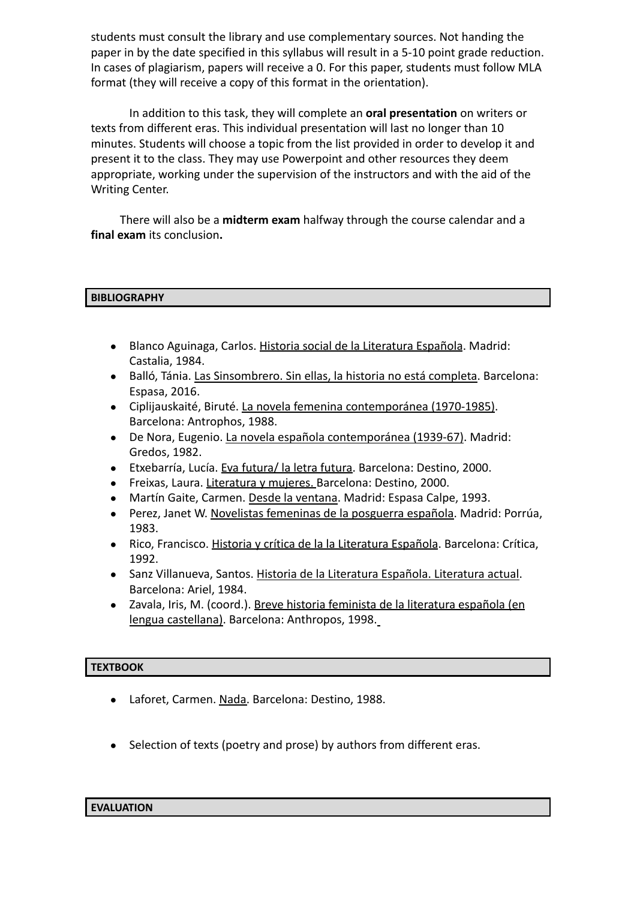students must consult the library and use complementary sources. Not handing the paper in by the date specified in this syllabus will result in a 5-10 point grade reduction. In cases of plagiarism, papers will receive a 0. For this paper, students must follow MLA format (they will receive a copy of this format in the orientation).

In addition to this task, they will complete an **oral presentation** on writers or texts from different eras. This individual presentation will last no longer than 10 minutes. Students will choose a topic from the list provided in order to develop it and present it to the class. They may use Powerpoint and other resources they deem appropriate, working under the supervision of the instructors and with the aid of the Writing Center.

There will also be a **midterm exam** halfway through the course calendar and a **final exam** its conclusion**.**

# **BIBLIOGRAPHY**

- Blanco Aguinaga, Carlos. Historia social de la Literatura Española. Madrid: Castalia, 1984.
- Balló, Tánia. Las Sinsombrero. Sin ellas, la historia no está completa. Barcelona: Espasa, 2016.
- Ciplijauskaité, Biruté. La novela femenina contemporánea (1970-1985). Barcelona: Antrophos, 1988.
- De Nora, Eugenio. La novela española contemporánea (1939-67). Madrid: Gredos, 1982.
- Etxebarría, Lucía. Eva futura/ la letra futura. Barcelona: Destino, 2000.
- Freixas, Laura. Literatura y mujeres. Barcelona: Destino, 2000.
- Martín Gaite, Carmen. Desde la ventana. Madrid: Espasa Calpe, 1993.
- Perez, Janet W. Novelistas femeninas de la posguerra española. Madrid: Porrúa, 1983.
- Rico, Francisco. Historia y crítica de la la Literatura Española. Barcelona: Crítica, 1992.
- Sanz Villanueva, Santos. Historia de la Literatura Española. Literatura actual. Barcelona: Ariel, 1984.
- Zavala, Iris, M. (coord.). Breve historia feminista de la literatura española (en lengua castellana). Barcelona: Anthropos, 1998.

### **TEXTBOOK**

- Laforet, Carmen. Nada. Barcelona: Destino, 1988.
- Selection of texts (poetry and prose) by authors from different eras.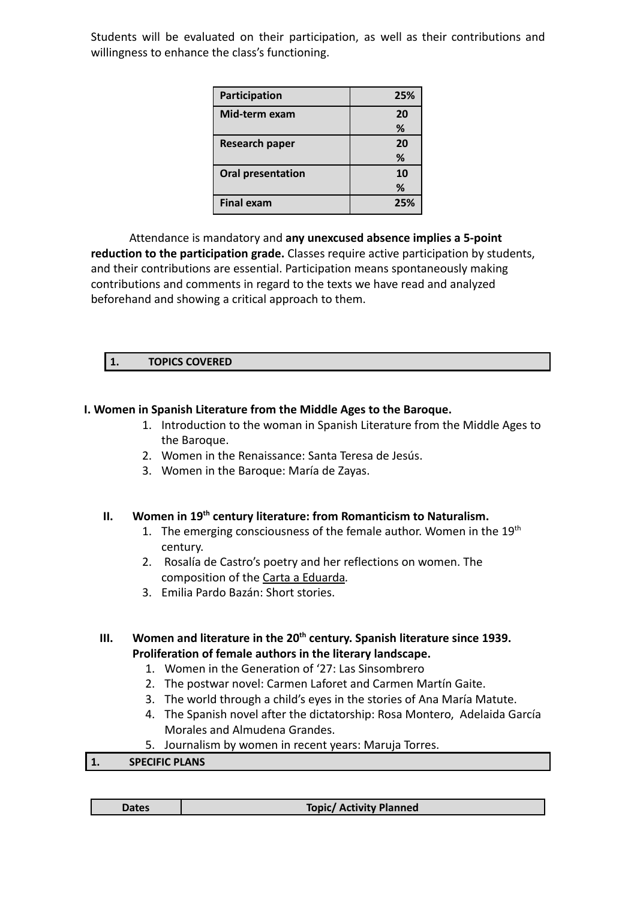Students will be evaluated on their participation, as well as their contributions and willingness to enhance the class's functioning.

| Participation            | 25%     |
|--------------------------|---------|
| Mid-term exam            | 20<br>℅ |
| <b>Research paper</b>    | 20<br>% |
| <b>Oral presentation</b> | 10<br>℅ |
| <b>Final exam</b>        | 25%     |

Attendance is mandatory and **any unexcused absence implies a 5-point reduction to the participation grade.** Classes require active participation by students, and their contributions are essential. Participation means spontaneously making contributions and comments in regard to the texts we have read and analyzed beforehand and showing a critical approach to them.

# **1. TOPICS COVERED**

# **I. Women in Spanish Literature from the Middle Ages to the Baroque.**

- 1. Introduction to the woman in Spanish Literature from the Middle Ages to the Baroque.
- 2. Women in the Renaissance: Santa Teresa de Jesús.
- 3. Women in the Baroque: María de Zayas.

### **II. Women in 19th century literature: from Romanticism to Naturalism.**

- 1. The emerging consciousness of the female author. Women in the  $19<sup>th</sup>$ century.
- 2. Rosalía de Castro's poetry and her reflections on women. The composition of the Carta a Eduarda*.*
- 3. Emilia Pardo Bazán: Short stories.

# **III. Women and literature in the 20th century. Spanish literature since 1939. Proliferation of female authors in the literary landscape.**

- 1. Women in the Generation of '27: Las Sinsombrero
- 2. The postwar novel: Carmen Laforet and Carmen Martín Gaite.
- 3. The world through a child's eyes in the stories of Ana María Matute.
- 4. The Spanish novel after the dictatorship: Rosa Montero, Adelaida García Morales and Almudena Grandes.
- 5. Journalism by women in recent years: Maruja Torres.

### **1. SPECIFIC PLANS**

**Topic/ Activity Planned**